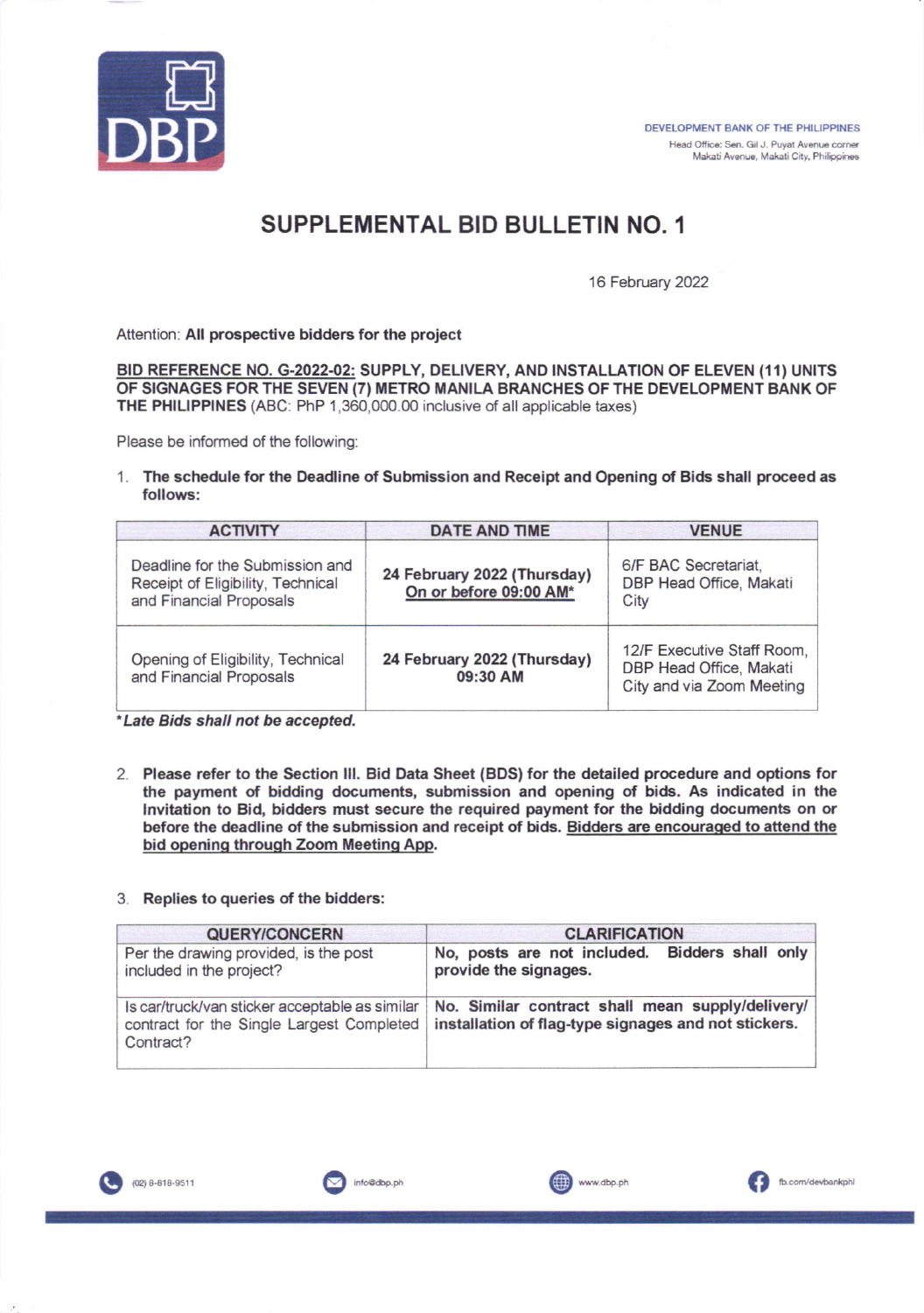

## SUPPLEMENTAL BID BULLETIN NO. <sup>1</sup>

16 February 2022

Attention: All prospective bidders for the project

BID REFERENCE NO. G-2022-02: SUPPLY, DELIVERY, AND INSTALLATION OF ELEVEN (11) UNITS OF SIGNAGES FOR THE SEVEN (7) METRO MANILA BRANCHES OF THE DEVELOPMENT BANK OF THE PHILIPPINES (ABC: PhP 1.360,000.00 inclusive of all applicable taxes)

Please be informed of the following

1. The schedule for the Deadline of Submission and Receipt and Opening of Bids shall proceed as follows:

| <b>ACTIVITY</b>                                                                                 | DATE AND TIME                                         | <b>VENUE</b>                                                                       |
|-------------------------------------------------------------------------------------------------|-------------------------------------------------------|------------------------------------------------------------------------------------|
| Deadline for the Submission and<br>Receipt of Eligibility, Technical<br>and Financial Proposals | 24 February 2022 (Thursday)<br>On or before 09:00 AM* | 6/F BAC Secretariat,<br>DBP Head Office, Makati<br>City                            |
| Opening of Eligibility, Technical<br>and Financial Proposals                                    | 24 February 2022 (Thursday)<br>09:30 AM               | 12/F Executive Staff Room,<br>DBP Head Office, Makati<br>City and via Zoom Meeting |

\*Late Bids shall not be accepted.

- 2. Please refer to the Section III. Bid Data Sheet (BDS) for the detailed procedure and options for the payment of bidding documents, submission and opening of bids. As indicated in the lnvitation to Bid, bidders must secure the required payment for the tidding documents on or before the deadline of the submission and receipt of bids. Bidders are encouraqed to aftend the bid opening through Zoom Meeting App.
- 3. Replies to queries of the bidders:

| QUERY/CONCERN                                                                                            | <b>CLARIFICATION</b>                                                                                     |  |
|----------------------------------------------------------------------------------------------------------|----------------------------------------------------------------------------------------------------------|--|
| Per the drawing provided, is the post<br>included in the project?                                        | No, posts are not included. Bidders shall only<br>provide the signages.                                  |  |
| Is car/truck/van sticker acceptable as similar<br>contract for the Single Largest Completed<br>Contract? | No. Similar contract shall mean supply/delivery/<br>installation of flag-type signages and not stickers. |  |